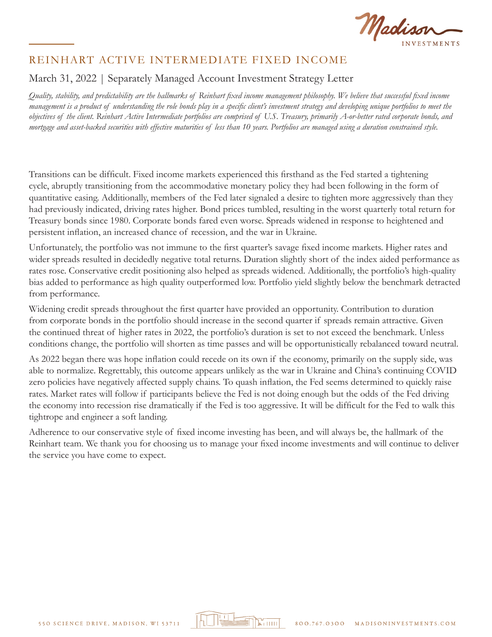

# REINHART ACTIVE INTERMEDIATE FIXED INCOME

## March 31, 2022 | Separately Managed Account Investment Strategy Letter

*Quality, stability, and predictability are the hallmarks of Reinhart fixed income management philosophy. We believe that successful fixed income management is a product of understanding the role bonds play in a specific client's investment strategy and developing unique portfolios to meet the objectives of the client. Reinhart Active Intermediate portfolios are comprised of U.S. Treasury, primarily A-or-better rated corporate bonds, and mortgage and asset-backed securities with effective maturities of less than 10 years. Portfolios are managed using a duration constrained style.*

Transitions can be difficult. Fixed income markets experienced this firsthand as the Fed started a tightening cycle, abruptly transitioning from the accommodative monetary policy they had been following in the form of quantitative easing. Additionally, members of the Fed later signaled a desire to tighten more aggressively than they had previously indicated, driving rates higher. Bond prices tumbled, resulting in the worst quarterly total return for Treasury bonds since 1980. Corporate bonds fared even worse. Spreads widened in response to heightened and persistent inflation, an increased chance of recession, and the war in Ukraine.

Unfortunately, the portfolio was not immune to the first quarter's savage fixed income markets. Higher rates and wider spreads resulted in decidedly negative total returns. Duration slightly short of the index aided performance as rates rose. Conservative credit positioning also helped as spreads widened. Additionally, the portfolio's high-quality bias added to performance as high quality outperformed low. Portfolio yield slightly below the benchmark detracted from performance.

Widening credit spreads throughout the first quarter have provided an opportunity. Contribution to duration from corporate bonds in the portfolio should increase in the second quarter if spreads remain attractive. Given the continued threat of higher rates in 2022, the portfolio's duration is set to not exceed the benchmark. Unless conditions change, the portfolio will shorten as time passes and will be opportunistically rebalanced toward neutral.

As 2022 began there was hope inflation could recede on its own if the economy, primarily on the supply side, was able to normalize. Regrettably, this outcome appears unlikely as the war in Ukraine and China's continuing COVID zero policies have negatively affected supply chains. To quash inflation, the Fed seems determined to quickly raise rates. Market rates will follow if participants believe the Fed is not doing enough but the odds of the Fed driving the economy into recession rise dramatically if the Fed is too aggressive. It will be difficult for the Fed to walk this tightrope and engineer a soft landing.

Adherence to our conservative style of fixed income investing has been, and will always be, the hallmark of the Reinhart team. We thank you for choosing us to manage your fixed income investments and will continue to deliver the service you have come to expect.

la Titutti

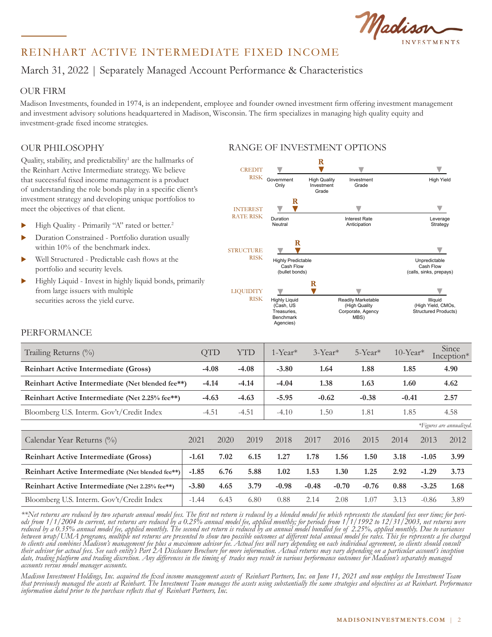Madison ESTMENTS

# REINHART ACTIVE INTERMEDIATE FIXED INCOME REINHART ACTIVE INTERMEDIATE FIXED INCOME

#### March 31, 2022 | Separately Managed Account Performance & Characteristics  $\frac{1}{2}$  $\frac{1}{2}$  $\frac{24}{20}$  $\frac{2000}{20}$  $\frac{1}{2}$ Patter 51, 2022 | Oeparately managed recount i chomance & Gran

#### OUR FIRM QUR FIRM and predictability. We believe that successful fixed income that successful fixed income that successful fixed income that successful fixed income that successful fixed income that successful fixed income that suc

Madison Investments, founded in 1974, is an independent, employee and founder owned investment firm offering investment management and investment advisory solutions headquartered in Madison, Wisconsin. The firm specializes in managing high quality equity and investment-grade fixed income strategies.

### OUR PHILOSOPHY

Quality, stability, and predictability<sup>1</sup> are the hallmarks of the Reinhart Active Intermediate strategy. We believe the Rennart Active intermediate strategy, we beneve<br>that successful fixed income management is a product of understanding the role bonds play in a specific client's investment strategy and developing unique portfolios to meet the objectives of that client.

- Im High Quality Primarily "A" rated or better.<sup>2</sup>
- Duration Constrained Portfolio duration usually within 10% of the benchmark index.
	- $\blacktriangleright$  Well Structured Predictable cash flows at the portfolio and security levels.
- $\blacktriangleright$  Highly Liquid Invest in highly liquid bonds, primarily from large issuers with multiple rrom large issuers with multiple<br>securities across the yield curve.



### PERFORMANCE

| Trailing Returns (%)                             |         | <b>QTD</b> | <b>YTD</b> | $1$ -Year <sup>*</sup> | $3$ -Year <sup>*</sup> |         | $5$ -Year <sup>*</sup> | $10$ -Year <sup>*</sup> |         | Since<br>$Inception*$    |
|--------------------------------------------------|---------|------------|------------|------------------------|------------------------|---------|------------------------|-------------------------|---------|--------------------------|
| <b>Reinhart Active Intermediate (Gross)</b>      |         | $-4.08$    | $-4.08$    | $-3.80$                |                        | 1.64    | 1.88                   | 1.85                    |         | 4.90                     |
| Reinhart Active Intermediate (Net blended fee**) |         | $-4.14$    | $-4.14$    | $-4.04$                | 1.38                   |         | 1.63                   | 1.60                    |         | 4.62                     |
| Reinhart Active Intermediate (Net 2.25% fee**)   |         | $-4.63$    | $-4.63$    | $-5.95$                |                        | $-0.62$ | $-0.38$                | $-0.41$                 |         | 2.57                     |
| Bloomberg U.S. Interm. Gov't/Credit Index        | $-4.51$ |            | $-4.51$    | $-4.10$                | 1.50                   |         | 1.81                   | 1.85                    |         | 4.58                     |
|                                                  |         |            |            |                        |                        |         |                        |                         |         | *Figures are annualized. |
| Calendar Year Returns (%)                        | 2021    | 2020       | 2019       | 2018                   | 2017                   | 2016    | 2015                   | 2014                    | 2013    | 2012                     |
| <b>Reinhart Active Intermediate (Gross)</b>      | $-1.61$ | 7.02       | 6.15       | 1.27                   | 1.78                   | 1.56    | 1.50                   | 3.18                    | $-1.05$ | 3.99                     |
| Reinhart Active Intermediate (Net blended fee**) | $-1.85$ | 6.76       | 5.88       | 1.02                   | 1.53                   | 1.30    | 1.25                   | 2.92                    | $-1.29$ | 3.73                     |
| Reinhart Active Intermediate (Net 2.25% fee**)   | $-3.80$ | 4.65       | 3.79       | $-0.98$                | $-0.48$                | $-0.70$ | $-0.76$                | 0.88                    | $-3.25$ | 1.68                     |
| Bloomberg U.S. Interm. Gov't/Credit Index        | $-1.44$ | 6.43       | 6.80       | 0.88                   | 2.14                   | 2.08    | 1.07                   | 3.13                    | $-0.86$ | 3.89                     |

\*\*Net returns are reduced by two separate annual model fees. The first net return is reduced by a blended model fee which represents the standard fees over time; for peri-<br>ods from 1/1/2004 to current, net returns are redu *reduced by a 0.35% annual model fee, applied monthly. The second net return is reduced by an annual model bundled fee of 2.25%, applied monthly. Due to variances between wrap/UMA programs, multiple net returns are presented to show two possible outcomes at different total annual model fee rates. This fee represents a fee charged to clients and combines Madison's management fee plus a maximum advisor fee. Actual fees will vary depending on each individual agreement, so clients should consult their advisor for actual fees. See each entity's Part 2A Disclosure Brochure for more information. Actual returns may vary depending on a particular account's inception date, trading platform and trading discretion. Any differences in the timing of trades may result in various performance outcomes for Madison's separately managed accounts versus model manager accounts.*

*Madison Investment Holdings, Inc. acquired the fixed income management assets of Reinhart Partners, Inc. on June 11, 2021 and now employs the Investment Team that previously managed the assets at Reinhart. The Investment Team manages the assets using substantially the same strategies and objectives as at Reinhart. Performance information dated prior to the purchase reflects that of Reinhart Partners, Inc.*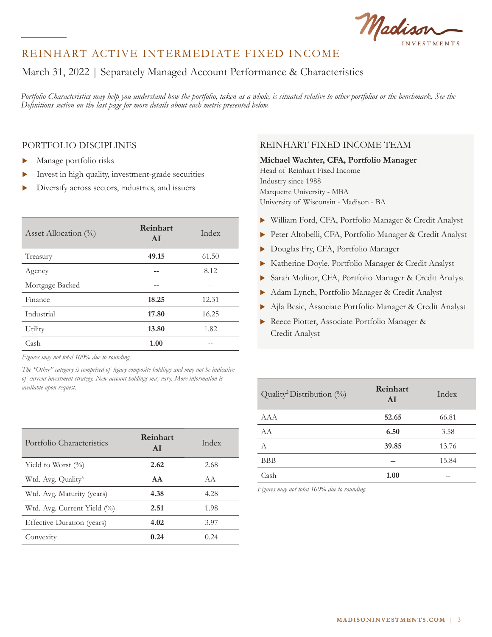Madison

## REINHART ACTIVE INTERMEDIATE FIXED INCOME

# March 31, 2022 | Separately Managed Account Performance & Characteristics

*Portfolio Characteristics may help you understand how the portfolio, taken as a whole, is situated relative to other portfolios or the benchmark. See the Definitions section on the last page for more details about each metric presented below.*

#### PORTFOLIO DISCIPLINES

- Manage portfolio risks
- $\blacktriangleright$  Invest in high quality, investment-grade securities
- Diversify across sectors, industries, and issuers

| Asset Allocation $(\%)$ | Reinhart<br>AI | Index |
|-------------------------|----------------|-------|
| Treasury                | 49.15          | 61.50 |
| Agency                  |                | 8.12  |
| Mortgage Backed         | --             |       |
| Finance                 | 18.25          | 12.31 |
| Industrial              | 17.80          | 16.25 |
| Utility                 | 13.80          | 1.82  |
| Cash                    | 1.00           |       |

*Figures may not total 100% due to rounding.*

*The "Other" category is comprised of legacy composite holdings and may not be indicative of current investment strategy. New account holdings may vary. More information is available upon request.* 

| Portfolio Characteristics      | Reinhart<br>AI | Index  |
|--------------------------------|----------------|--------|
| Yield to Worst $(\%$           | 2.62           | 2.68   |
| Wtd. Avg. Quality <sup>3</sup> | AA             | $AA -$ |
| Wtd. Avg. Maturity (years)     | 4.38           | 4.28   |
| Wtd. Avg. Current Yield (%)    | 2.51           | 1.98   |
| Effective Duration (years)     | 4.02           | 3.97   |
| Convexity                      | 0.24           | 0.24   |

### REINHART FIXED INCOME TEAM

# **Michael Wachter, CFA, Portfolio Manager**

Head of Reinhart Fixed Income Industry since 1988 Marquette University - MBA University of Wisconsin - Madison - BA

- X William Ford, CFA, Portfolio Manager & Credit Analyst
- X Peter Altobelli, CFA, Portfolio Manager & Credit Analyst
- Douglas Fry, CFA, Portfolio Manager
- X Katherine Doyle, Portfolio Manager & Credit Analyst
- X Sarah Molitor, CFA, Portfolio Manager & Credit Analyst
- $\blacktriangleright$  Adam Lynch, Portfolio Manager & Credit Analyst
- $\blacktriangleright$  Ajla Besic, Associate Portfolio Manager & Credit Analyst
- ▶ Reece Piotter, Associate Portfolio Manager & Credit Analyst

| Quality <sup>2</sup> Distribution $(\%)$ | Reinhart<br>AI | Index |
|------------------------------------------|----------------|-------|
| <b>AAA</b>                               | 52.65          | 66.81 |
| A A                                      | 6.50           | 3.58  |
| A                                        | 39.85          | 13.76 |
| BBB                                      |                | 15.84 |
| Cash                                     | 1.00           |       |

*Figures may not total 100% due to rounding.*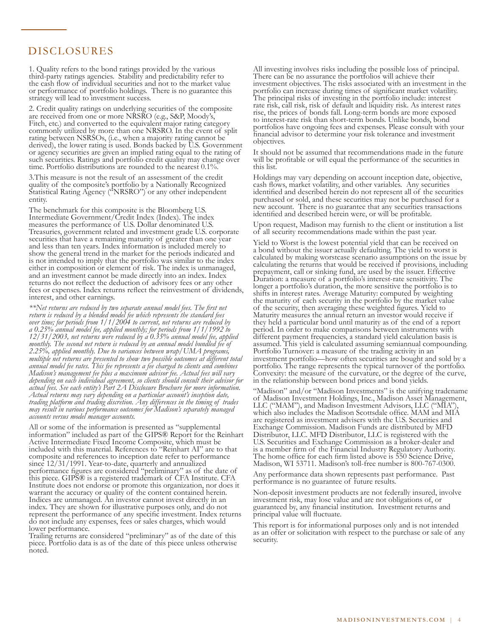#### DISCLOSURES DISCLOSURES

third-party ratings agencies. Stability and predictability refer to the cash flow of individual securities and not to the market value or performance of portfolio holdings. There is no guarantee this strategy will lead to investment success. 1. Quality refers to the bond ratings provided by the various

2. Credit quality ratings on underlying securities of the composite are received from one or more NRSRO (e.g., S&P, Moody's, Fitch, etc.) and converted to the equivalent major rating category commonly utilized by more than one NRSRO. In the event of split rating between NSRSOs, (i.e., when a majority rating cannot be derived), the lower rating is used. Bonds backed by U.S. Government or agency securities are given an implied rating equal to the rating of such securities. Ratings and portfolio credit quality may change over time. Portfolio distributions are rounded to the nearest 0.1%.

3. This measure is not the result of an assessment of the credit quality of the composite's portfolio by a Nationally Recognized Statistical Rating Agency ("NRSRO") or any other independent  $S(\mathcal{L}, \mathcal{L})$  and  $\mathcal{L}(\mathcal{L}, \mathcal{L})$  or any other independent independent independent independent independent independent independent independent independent in the set of  $\mathcal{L}(\mathcal{L}, \mathcal{L})$ quality of the composite's portfolio by a Nationally Recognized Statistical Rating Agency ("NRSRO") or any other independent entity.

The benchmark for this composite is the Bloomberg U.S. Intermediate Government/Credit Index (Index). The index measures the performance of U.S. Dollar denominated U.S. Treasuries, government related and investment grade U.S. corporate securities that have a remaining maturity of greater than one year and less than ten years. Index information is included merely to show the general trend in the market for the periods indicated as is not intended to imply that the portfolio was similar to the index either in composition or element of risk. The index is unmanaged, and an investment cannot be made directly into an index. Index returns do not reflect the deduction of advisory fees or any other fees or expenses. Index returns reflect the reinvestment of dividends, interest, and other earnings. and less than ten years. Index information is included merely to show the general trend in the market for the periods indicated and

interest. The rest was continued by the return is reduced by a blended model fee which represents the standard fees<sup>.</sup> *return is reduced by a blended model fee which represents the standard fees*  a 0.25% annual model fee, applied monthly; for periods from 1/1/1992 to 12/31/2003, net returns were reduced by a 0.35% annual model fee, appli *monthly. The second net return is reduced by an annual model bundled fee of* 2.25%, applied monthly. Due to variances between wrap/UMA programs, *2.25%, applied monthly. Due to variances between wrap/UMA programs,*  annual model fee rates. This fee represents a fee charged to clients and combines Madison's management fee plus a maximum advisor fee. Actual fees will vary *Madison's management fee plus a maximum advisor fee. Actual fees will vary depending on each individual agreement, so clients should consult their advisor for actual fees. See each entity's Part 2A Disclosure Brochure for more information.*  Actual returns may vary depending on a particular account's inception date, trading platform and trading discretion. Any differences in the timing of tra *trading platform and trading discretion. Any differences in the timing of trades may result in various performance outcomes for Madison's separately managed may result in various performance outcomes for Madison's separately managed accounts versus model manager accounts. \*\*Net returns are reduced by two separate annual model fees. The first net return is reduced by a blended model fee which represents the standard fees over time; for periods from 1/1/2004 to current, net returns are reduced by a 0.25% annual model fee, applied monthly; for periods from 1/1/1992 to 12/31/2003, net returns were reduced by a 0.35% annual model fee, applied monthly. The second net return is reduced by an annual model bundled fee of 2.25%, applied monthly. Due to variances between wrap/UMA programs, multiple net returns are presented to show two possible outcomes at different total annual model fee rates. This fee represents a fee charged to clients and combines Madison's management fee plus a maximum advisor fee. Actual fees will vary depending on each individual agreement, so clients should consult their advisor for Actual returns may vary depending on a particular account's inception date, trading platform and trading discretion. Any differences in the timing of trades* 

*accounts versus model manager accounts.* All or some of the information is presented as "supplemental information" included as part of the GIPS® Report for the Reinhart Active Intermediate Fixed Income Composite, which must be included with this material. References to "Reinhart AI" are to composite and references to inception date refer to performance since 12/31/1991. Year-to-date, quarterly and annualized performance figures are considered "preliminary" as of th this piece. GIPS® is a registered trademark of CFA Institute. CFA Institute does not endorse or promote this organization, nor does it warrant the accuracy or quality of the content contained herein. Indices are unmanaged. An investor cannot invest directly in an index. They are shown for illustrative purposes only, and do not represent the performance of any specific investment. Index returns do not include any expenses, fees or sales charges, which would lower performance. Fees or sales charges, which would be a sales charges, which we have a set of  $\alpha$ Active Intermediate Fixed Income Composite, which must be included with this material. References to "Reinhart AI" are to that since 12/31/1991. Year-to-date, quarterly and annualized performance figures are considered "preliminary" as of the date of this piece. GIPS® is a registered trademark of CFA Institute. CFA warrant the accuracy or quality of the content contained herein. Indices are unmanaged. An investor cannot invest directly in an

Trailing returns are considered "preliminary" as of the date of this piece. Portfolio data is as of the date of this piece unless otherwise proted. Portfolio data is as of the data is as of the data is as of the data is as of the data is  $\frac{1}{2}$ noted.

There can be no assurance the portfolios will achieve their investment objectives. The risks associated with an investment in the portfolio can increase during times of significant market volatility. The principal risks of investing in the portfolio include: interest rate risk, call risk, risk of default and liquidity risk. As interest rates rise, the prices of bonds fall. Long-term bonds are more exposed to interest-rate risk than short-term bonds. Unlike bonds, bond portfolios have ongoing fees and expenses. Please consult with your financial advisor to determine your risk tolerance and investment financial advisor to determine your risk tolerance and investment objectives. All investing involves risks including the possible loss of principal. portfolio can increase during times of significant market volatility. The principal risks of investing in the portfolio include: interest

It should not be assumed that recommendations made in the future will be profitable or will equal the performance of the securities in  $\frac{1}{\pi}$  be profitable or  $\frac{1}{\pi}$  the securities in the securities in the securities in the securities in the securities in the securities in the securities in the securities in the securities in the securities in th this list.

Holdings may vary depending on account inception date, objective, cash flows, market volatility, and other variables. Any securities identified and described herein do not represent all of the securities purchased or sold, and these securities may not be purchased for a new account. There is no guarantee that any securities transactions identified and described herein were, or will be profitable.

Upon request, Madison may furnish to the client or institution a list of all security recommendations made within the past year.

Yield to Worst is the lowest potential yield that can be received on a bond without the issuer actually defaulting. The yield to worst is calculated by making worstcase scenario assumptions on the issue by calculating the returns that would be received if provisions, including prepayment, call or sinking fund, are used by the issuer. Effective Duration: a measure of a portfolio's interest-rate sensitivity. The longer a portfolio's duration, the more sensitive the portfolio is to shifts in interest rates. Average Maturity: computed by weighting the maturity of each security in the portfolio by the market value of the security, then averaging these weighted figures. Yield to Maturity measures the annual return an investor would receive if they held a particular bond until maturity as of the end of a report period. In order to make comparisons between instruments with different payment frequencies, a standard yield calculation basis is assumed. This yield is calculated assuming semiannual compoundi Portfolio Turnover: a measure of the trading activity in an investment portfolio—how often securities are bought and sold by a portfolio. The range represents the typical turnover of the portfolio.<br>Convexity: the measure of the curvature, or the degree of the curve,<br>in the relationship between bond prices and bond yields. Convexity: the measure of the curvature, or the degree of the curve, in the relationship between bond prices and bond yields. prepayment, call or sinking fund, are used by the issuer. Effective Duration: a measure of a portfolio's interest-rate sensitivity. The shifts in interest rates. Average Maturity: computed by weighting the maturity of each security in the portfolio by the market value different payment frequencies, a standard yield calculation basis is assumed. This yield is calculated assuming semiannual compounding. Portfolio Turnover: a measure of the trading activity in an

"Madison" and/or "Madison Investments" is the unifying tradename of Madison Investment Holdings, Inc., Madison Asset Management, LLC ("MAM"), and Madison Investment Advisors, LLC ("MIA"), which also includes the Madison Scottsdale office. MAM and MIA are registered as investment advisers with the U.S. Securities and Exchange Commission. Madison Funds are distributed by MFD Distributor, LLC. MFD Distributor, LLC is registered with the U.S. Securities and Exchange Commission as a broker-dealer and is a member firm of the Financial Industry Regulatory Authority. The home office for each firm listed above is 550 Science Drive, Madison, WI 53711. Madison's toll-free number is 800-767-0300.

Any performance data shown represents past performance. Past performance is no guarantee of future results.

.<br>Non-deposit investment products are not federally insured, involve investment risk, may lose value and are not obligations of, or guaranteed by, any financial institution. Investment returns and principal value will fluctuate.

This report is for informational purposes only and is not intended as an offer or solicitation with respect to the purchase or sale of any  $\alpha$  security. security.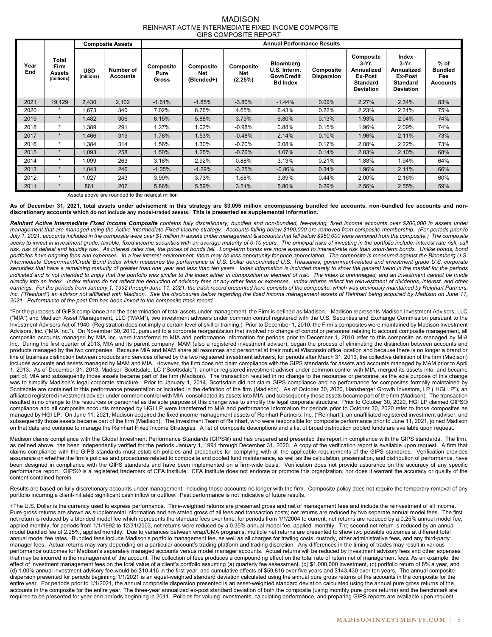#### MADISON REINHART ACTIVE INTERMEDIATE FIXED INCOME COMPOSITE GIPS COMPOSITE REPORT

|             |                                              | <b>Composite Assets</b>  |                              | <b>Annual Performance Results</b> |                                |                             |                                                                    |                                |                                                                                                  |                                                                                   |                                                           |  |
|-------------|----------------------------------------------|--------------------------|------------------------------|-----------------------------------|--------------------------------|-----------------------------|--------------------------------------------------------------------|--------------------------------|--------------------------------------------------------------------------------------------------|-----------------------------------------------------------------------------------|-----------------------------------------------------------|--|
| Year<br>End | Total<br>Firm<br><b>Assets</b><br>(millions) | <b>USD</b><br>(millions) | Number of<br><b>Accounts</b> | Composite<br>Pure<br>Gross        | Composite<br>Net<br>(Blended+) | Composite<br>Net<br>(2.25%) | <b>Bloomberg</b><br>U.S. Interm.<br>Govt/Credit<br><b>Bd Index</b> | Composite<br><b>Dispersion</b> | Composite<br>3-Yr.<br><b>Annualized</b><br><b>Ex-Post</b><br><b>Standard</b><br><b>Deviation</b> | Index<br>$3-Yr$ .<br>Annualized<br>Ex-Post<br><b>Standard</b><br><b>Deviation</b> | $%$ of<br><b>Bundled</b><br><b>Fee</b><br><b>Accounts</b> |  |
| 2021        | 19,129                                       | 2,430                    | 2.102                        | $-1.61%$                          | $-1.85%$                       | $-3.80%$                    | $-1.44%$                                                           | 0.09%                          | 2.27%                                                                                            | 2.34%                                                                             | 83%                                                       |  |
| 2020        | $\star$                                      | 1,673                    | 340                          | 7.02%                             | 6.76%                          | 4.65%                       | 6.43%                                                              | 0.22%                          | 2.23%                                                                                            | 2.31%                                                                             | 75%                                                       |  |
| 2019        | $\star$                                      | 1.482                    | 306                          | 6.15%                             | 5.88%                          | 3.79%                       | 6.80%                                                              | 0.13%                          | 1.93%                                                                                            | 2.04%                                                                             | 74%                                                       |  |
| 2018        | $\star$                                      | 1,389                    | 291                          | 1.27%                             | 1.02%                          | $-0.98%$                    | 0.88%                                                              | 0.15%                          | 1.96%                                                                                            | 2.09%                                                                             | 74%                                                       |  |
| 2017        | $\star$                                      | 1.466                    | 319                          | 1.78%                             | 1.53%                          | $-0.48%$                    | 2.14%                                                              | 0.10%                          | 1.96%                                                                                            | 2.11%                                                                             | 73%                                                       |  |
| 2016        | $\star$                                      | 1,384                    | 314                          | 1.56%                             | 1.30%                          | $-0.70%$                    | 2.08%                                                              | 0.17%                          | 2.08%                                                                                            | 2.22%                                                                             | 73%                                                       |  |
| 2015        | $\star$                                      | 1,093                    | 258                          | 1.50%                             | 1.25%                          | $-0.76%$                    | 1.07%                                                              | 0.14%                          | 2.03%                                                                                            | 2.10%                                                                             | 68%                                                       |  |
| 2014        | $\star$                                      | 1,099                    | 263                          | 3.18%                             | 2.92%                          | 0.88%                       | 3.13%                                                              | 0.21%                          | 1.88%                                                                                            | 1.94%                                                                             | 64%                                                       |  |
| 2013        | $\star$                                      | 1,043                    | 246                          | $-1.05%$                          | $-1.29%$                       | $-3.25%$                    | $-0.86%$                                                           | 0.34%                          | 1.96%                                                                                            | 2.11%                                                                             | 66%                                                       |  |
| 2012        | $\star$                                      | 1,027                    | 243                          | 3.99%                             | 3.73%                          | 1.68%                       | 3.89%                                                              | 0.44%                          | 2.00%                                                                                            | 2.16%                                                                             | 60%                                                       |  |
| 2011        | $\star$                                      | 861                      | 207                          | 5.86%                             | 5.59%                          | 3.51%                       | 5.80%                                                              | 0.29%                          | 2.56%                                                                                            | 2.55%                                                                             | 59%                                                       |  |

Assets above are rounded to the nearest million

As of December 31, 2021, total assets under advisement in this strategy are \$3,095 million encompassing bundled fee accounts, non-bundled fee accounts and non**discretionary accounts which do not include any model-traded assets. This is presented as supplemental information.** 

Reinhart Active Intermediate Fixed Income Composite contains fully discretionary, bundled and non-bundled, fee-paying, fixed income accounts over \$200,000 in assets under *management that are managed using the Active Intermediate Fixed Income strategy. Accounts falling below \$190,000 are removed from composite membership. (For periods prior to*  July 1, 2021, accounts included in the composite were over \$1 million in assets under management & accounts that fell below \$950,000 were removed from the composite.) The composite seeks to invest in investment grade, taxable, fixed income securities with an average maturity of 0-10 years. The principal risks of investing in the portfolio include: interest rate risk, call *risk, risk of default and liquidity risk. As interest rates rise, the prices of bonds fall. Long-term bonds are more exposed to interest-rate risk than short-term bonds. Unlike bonds, bond*  portfolios have ongoing fees and expenses. In a low-interest environment, there may be less opportunity for price appreciation. The composite is measured against the Bloomberg U.S. *Intermediate Government/Credit Bond Index which measures the performance of U.S. Dollar denominated U.S. Treasuries, government-related and investment grade U.S. corporate*  securities that have a remaining maturity of greater than one year and less than ten years. Index information is included merely to show the general trend in the market for the periods indicated and is not intended to imply that the portfolio was similar to the index either in composition or element of risk. The index is unmanaged, and an investment cannot be made directly into an index. Index returns do not reflect the deduction of advisory fees or any other fees or expenses. Index returns reflect the reinvestment of dividends, interest, and other earnings. For the periods from January 1, 1992 through June 11, 2021, the track record presented here consists of the composite, which was previously maintained by Reinhart Partners, Inc. ("Reinhart") an advisor not affiliated with Madison. See the disclosures below regarding the fixed income management assets of Reinhart being acquired by Madison on June 11, 2021. Performance of the past firm has been linked to the composite track record.

\*For the purposes of GIPS compliance and the determination of total assets under management, the Firm is defined as Madison. Madison represents Madison Investment Advisors, LLC ("MIA") and Madison Asset Management, LLC ("MAM"), two investment advisers under common control registered with the U.S. Securities and Exchange Commission pursuant to the Investment Advisers Act of 1940. (Registration does not imply a certain level of skill or training.) Prior to December 1, 2010, the Firm's composites were maintained by Madison Investment Advisors, Inc. ("MIA Inc."). On November 30, 2010, pursuant to a corporate reorganization that involved no change of control or personnel relating to account composite management, all composite accounts managed by MIA Inc. were transferred to MIA and performance information for periods prior to December 1, 2010 refer to this composite as managed by MIA Inc. During the first quarter of 2013, MIA and its parent company, MAM (also a registered investment adviser), began the process of eliminating the distinction between accounts and products managed by the two companies. Because MIA and MAM share all resources and personnel at their mutual Wisconsin office location and because there is no longer a brand or line of business distinction between products and services offered by the two registered investment advisers, for periods after March 31, 2013, the collective definition of the firm (Madison) includes accounts and assets managed by MAM and MIA. However, the firm does not claim compliance with the GIPS standards for assets and accounts managed by MAM prior to April 1, 2013. As of December 31, 2013, Madison Scottsdale, LC ("Scottsdale"), another registered investment adviser under common control with MIA, merged its assets into, and became part of, MIA and subsequently those assets became part of the firm (Madison). The transaction resulted in no change to the resources or personnel as the sole purpose of this change was to simplify Madison's legal corporate structure. Prior to January 1, 2014, Scottsdale did not claim GIPS compliance and no performance for composites formally maintained by Scottsdale are contained in this performance presentation or included in the definition of the firm (Madison). As of October 30, 2020, Hansberger Growth Investors, LP ("HGI LP"), an affiliated registered investment adviser under common control with MIA, consolidated its assets into MIA, and subsequently those assets became part of the firm (Madison). The transaction resulted in no change to the resources or personnel as the sole purpose of this change was to simplify the legal corporate structure. Prior to October 30, 2020, HGI LP claimed GIPS® compliance and all composite accounts managed by HGI LP were transferred to MIA and performance information for periods prior to October 30, 2020 refer to those composites as managed by HGI LP. On June 11, 2021, Madison acquired the fixed income management assets of Reinhart Partners, Inc. ("Reinhart"), an unaffiliated registered investment adviser, and subsequently those assets became part of the firm (Madison). The Investment Team of Reinhart, who were responsible for composite performance prior to June 11, 2021, joined Madison on that date and continue to manage the Reinhart Fixed Income Strategies. A list of composite descriptions and a list of broad distribution pooled funds are available upon request.

Madison claims compliance with the Global Investment Performance Standards (GIPS®) and has prepared and presented this report in compliance with the GIPS standards. The firm, as defined above, has been independently verified for the periods January 1, 1991 through December 31, 2020. A copy of the verification report is available upon request. A firm that claims compliance with the GIPS standards must establish policies and procedures for complying with all the applicable requirements of the GIPS standards. Verification provides assurance on whether the firm's policies and procedures related to composite and pooled fund maintenance, as well as the calculation, presentation, and distribution of performance, have been designed in compliance with the GIPS standards and have been implemented on a firm-wide basis. Verification does not provide assurance on the accuracy of any specific performance report. GIPS® is a registered trademark of CFA Institute. CFA Institute does not endorse or promote this organization, nor does it warrant the accuracy or quality of the content contained herein.

Results are based on fully discretionary accounts under management, including those accounts no longer with the firm. Composite policy does not require the temporary removal of any portfolio incurring a client-initiated significant cash inflow or outflow. Past performance is not indicative of future results.

*+*The U.S. Dollar is the currency used to express performance. Time-weighted returns are presented gross and net of management fees and include the reinvestment of all income. Pure gross returns are shown as supplemental information and are stated gross of all fees and transaction costs; net returns are reduced by two separate annual model fees. The first net return is reduced by a blended model fee which represents the standard fees over time: for periods from 1/1/2004 to current, net returns are reduced by a 0.25% annual model fee, applied monthly; for periods from 1/1/1992 to 12/31/2003, net returns were reduced by a 0.35% annual model fee, applied monthly. The second net return is reduced by an annual model bundled fee of 2.25%, applied monthly. Due to variances between wrap/UMA programs, multiple net returns are presented to show *two* possible outcomes at different total annual model fee rates. Bundled fees include Madison's portfolio management fee, as well as all charges for trading costs, custody, other administrative fees, and any third-party manager fees. Actual returns may vary depending on a particular account's trading platform and trading discretion. Any differences in the timing of trades may result in various performance outcomes for Madison's separately managed accounts versus model manager accounts. Actual returns will be reduced by investment advisory fees and other expenses that may be incurred in the management of the account. The collection of fees produces a compounding effect on the total rate of return net of management fees. As an example, the effect of investment management fees on the total value of a client's portfolio assuming (a) quarterly fee assessment, (b) \$1,000,000 investment, (c) portfolio return of 8% a year, and (d) 1.00% annual investment advisory fee would be \$10,416 in the first year, and cumulative effects of \$59,816 over five years and \$143,430 over ten years. The annual composite dispersion presented for periods beginning 1/1/2021 is an equal-weighted standard deviation calculated using the annual pure gross returns of the accounts in the composite for the entire year. For periods prior to 1/1/2021, the annual composite dispersion presented is an asset-weighted standard deviation calculated using the annual pure gross returns of the accounts in the composite for the entire year. The three-year annualized ex-post standard deviation of both the composite (using monthly pure gross returns) and the benchmark are required to be presented for year-end periods beginning in 2011. Policies for valuing investments, calculating performance, and preparing GIPS reports are available upon request.